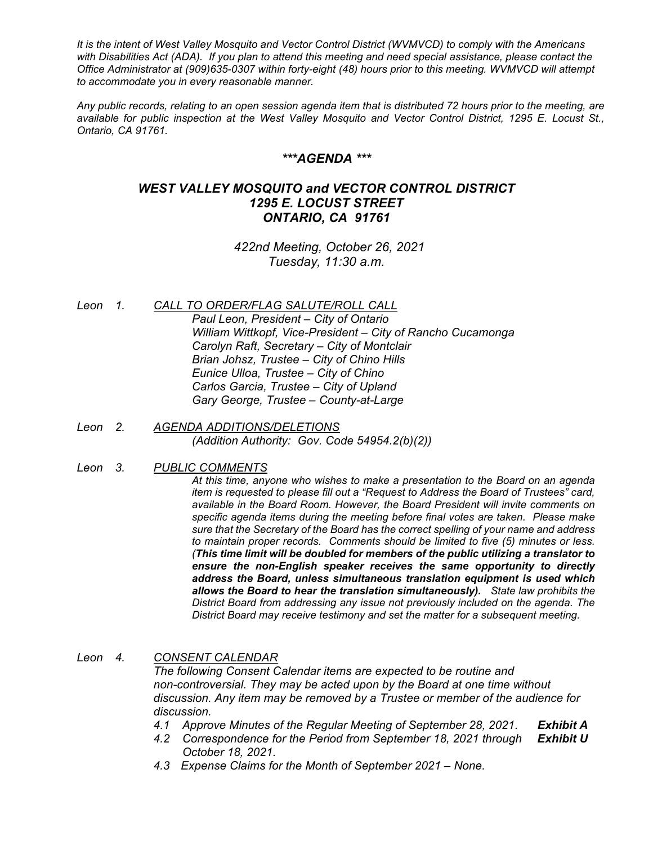*It is the intent of West Valley Mosquito and Vector Control District (WVMVCD) to comply with the Americans with Disabilities Act (ADA). If you plan to attend this meeting and need special assistance, please contact the Office Administrator at (909)635-0307 within forty-eight (48) hours prior to this meeting. WVMVCD will attempt to accommodate you in every reasonable manner.*

*Any public records, relating to an open session agenda item that is distributed 72 hours prior to the meeting, are available for public inspection at the West Valley Mosquito and Vector Control District, 1295 E. Locust St., Ontario, CA 91761.*

## *\*\*\*AGENDA \*\*\**

# *WEST VALLEY MOSQUITO and VECTOR CONTROL DISTRICT 1295 E. LOCUST STREET ONTARIO, CA 91761*

*422nd Meeting, October 26, 2021 Tuesday, 11:30 a.m.*

*Leon 1. CALL TO ORDER/FLAG SALUTE/ROLL CALL*

*Paul Leon, President – City of Ontario William Wittkopf, Vice-President – City of Rancho Cucamonga Carolyn Raft, Secretary – City of Montclair Brian Johsz, Trustee – City of Chino Hills Eunice Ulloa, Trustee – City of Chino Carlos Garcia, Trustee – City of Upland Gary George, Trustee – County-at-Large*

### *Leon 2. AGENDA ADDITIONS/DELETIONS (Addition Authority: Gov. Code 54954.2(b)(2))*

### *Leon 3. PUBLIC COMMENTS*

*At this time, anyone who wishes to make a presentation to the Board on an agenda item is requested to please fill out a "Request to Address the Board of Trustees" card, available in the Board Room. However, the Board President will invite comments on specific agenda items during the meeting before final votes are taken. Please make sure that the Secretary of the Board has the correct spelling of your name and address to maintain proper records. Comments should be limited to five (5) minutes or less. (This time limit will be doubled for members of the public utilizing a translator to ensure the non-English speaker receives the same opportunity to directly address the Board, unless simultaneous translation equipment is used which allows the Board to hear the translation simultaneously). State law prohibits the District Board from addressing any issue not previously included on the agenda. The District Board may receive testimony and set the matter for a subsequent meeting.*

### *Leon 4. CONSENT CALENDAR*

*The following Consent Calendar items are expected to be routine and non-controversial. They may be acted upon by the Board at one time without discussion. Any item may be removed by a Trustee or member of the audience for discussion.*

- *4.1 Approve Minutes of the Regular Meeting of September 28, 2021. Exhibit A*
- *4.2 Correspondence for the Period from September 18, 2021 through Exhibit U October 18, 2021.*
- *4.3 Expense Claims for the Month of September 2021 – None.*